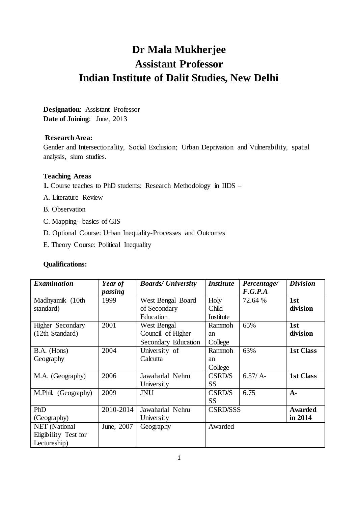# **Dr Mala Mukherjee Assistant Professor Indian Institute of Dalit Studies, New Delhi**

**Designation**: Assistant Professor **Date of Joining**: June, 2013

# **Research Area:**

Gender and Intersectionality, Social Exclusion; Urban Deprivation and Vulnerability, spatial analysis, slum studies.

## **Teaching Areas**

- **1.** Course teaches to PhD students: Research Methodology in IIDS –
- A. Literature Review
- B. Observation
- C. Mapping- basics of GIS
- D. Optional Course: Urban Inequality-Processes and Outcomes
- E. Theory Course: Political Inequality

# **Qualifications:**

| <b>Examination</b>   | Year of    | <b>Boards/ University</b> | <b>Institute</b> | Percentage/ | <b>Division</b>  |
|----------------------|------------|---------------------------|------------------|-------------|------------------|
|                      | passing    |                           |                  | F.G.P.A     |                  |
| Madhyamik (10th      | 1999       | West Bengal Board         | Holy             | 72.64 %     | 1st              |
| standard)            |            | of Secondary              | Child            |             | division         |
|                      |            | Education                 | Institute        |             |                  |
| Higher Secondary     | 2001       | West Bengal               | Rammoh           | 65%         | 1st              |
| (12th Standard)      |            | Council of Higher         | an               |             | division         |
|                      |            | Secondary Education       | College          |             |                  |
| B.A. (Hons)          | 2004       | University of             | Rammoh           | 63%         | <b>1st Class</b> |
| Geography            |            | Calcutta                  | an               |             |                  |
|                      |            |                           | College          |             |                  |
| M.A. (Geography)     | 2006       | Jawaharlal Nehru          | CSRD/S           | $6.57/A-$   | <b>1st Class</b> |
|                      |            | University                | <b>SS</b>        |             |                  |
| M.Phil. (Geography)  | 2009       | JNU                       | CSRD/S           | 6.75        | $A-$             |
|                      |            |                           | <b>SS</b>        |             |                  |
| PhD                  | 2010-2014  | Jawaharlal Nehru          | <b>CSRD/SSS</b>  |             | Awarded          |
| (Geography)          |            | University                |                  |             | in 2014          |
| NET (National        | June, 2007 | Geography                 | Awarded          |             |                  |
| Eligibility Test for |            |                           |                  |             |                  |
| Lectureship)         |            |                           |                  |             |                  |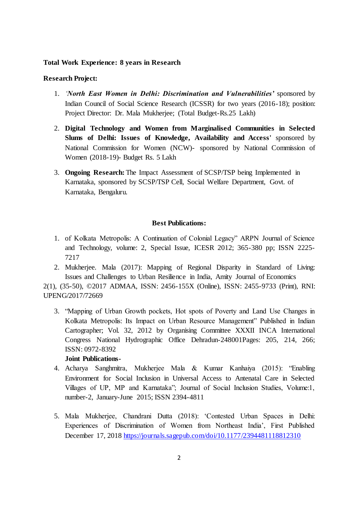## **Total Work Experience: 8 years in Research**

## **Research Project:**

- 1. *'North East Women in Delhi: Discrimination and Vulnerabilities'* sponsored by Indian Council of Social Science Research (ICSSR) for two years (2016-18); position: Project Director: Dr. Mala Mukherjee; (Total Budget-Rs.25 Lakh)
- 2. **Digital Technology and Women from Marginalised Communities in Selected Slums of Delhi: Issues of Knowledge, Availability and Access'** sponsored by National Commission for Women (NCW)- sponsored by National Commission of Women (2018-19)- Budget Rs. 5 Lakh
- 3. **Ongoing Research:** The Impact Assessment of SCSP/TSP being Implemented in Karnataka, sponsored by SCSP/TSP Cell, Social Welfare Department, Govt. of Karnataka, Bengaluru.

### **Best Publications:**

- 1. of Kolkata Metropolis: A Continuation of Colonial Legacy" ARPN Journal of Science and Technology, volume: 2, Special Issue, ICESR 2012; 365-380 pp; ISSN 2225- 7217
- 2. Mukherjee. Mala (2017): Mapping of Regional Disparity in Standard of Living: Issues and Challenges to Urban Resilience in India, Amity Journal of Economics

2(1), (35-50), ©2017 ADMAA, ISSN: 2456-155X (Online), ISSN: 2455-9733 (Print), RNI: UPENG/2017/72669

3. "Mapping of Urban Growth pockets, Hot spots of Poverty and Land Use Changes in Kolkata Metropolis: Its Impact on Urban Resource Management" Published in Indian Cartographer; Vol. 32, 2012 by Organising Committee XXXII INCA International Congress National Hydrographic Office Dehradun-248001Pages: 205, 214, 266; ISSN: 0972-8392

## **Joint Publications-**

- 4. Acharya Sanghmitra, Mukherjee Mala & Kumar Kanhaiya (2015): "Enabling Environment for Social Inclusion in Universal Access to Antenatal Care in Selected Villages of UP, MP and Karnataka"; Journal of Social Inclusion Studies, Volume:1, number-2, January-June 2015; ISSN 2394-4811
- 5. Mala Mukherjee, Chandrani Dutta (2018): 'Contested Urban Spaces in Delhi: Experiences of Discrimination of Women from Northeast India', First Published December 17, 2018<https://journals.sagepub.com/doi/10.1177/2394481118812310>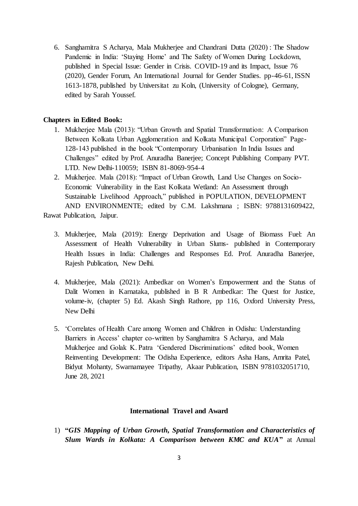6. Sanghamitra S Acharya, Mala Mukherjee and Chandrani Dutta (2020) : The Shadow Pandemic in India: 'Staying Home' and The Safety of Women During Lockdown, published in Special Issue: Gender in Crisis. COVID-19 and its Impact, Issue 76 (2020), Gender Forum, An International Journal for Gender Studies. pp-46-61, ISSN 1613-1878, published by Universitat zu Koln, (University of Cologne), Germany, edited by Sarah Youssef.

### **Chapters in Edited Book:**

- 1. Mukherjee Mala (2013): "Urban Growth and Spatial Transformation: A Comparison Between Kolkata Urban Agglomeration and Kolkata Municipal Corporation" Page-128-143 published in the book "Contemporary Urbanisation In India Issues and Challenges" edited by Prof. Anuradha Banerjee; Concept Publishing Company PVT. LTD. New Delhi-110059; ISBN 81-8069-954-4
- 2. Mukherjee. Mala (2018): "Impact of Urban Growth, Land Use Changes on Socio-Economic Vulnerability in the East Kolkata Wetland: An Assessment through Sustainable Livelihood Approach," published in POPULATION, DEVELOPMENT AND ENVIRONMENTE; edited by C.M. Lakshmana ; ISBN: 9788131609422,

Rawat Publication, Jaipur.

- 3. Mukherjee, Mala (2019): Energy Deprivation and Usage of Biomass Fuel: An Assessment of Health Vulnerability in Urban Slums- published in Contemporary Health Issues in India: Challenges and Responses Ed. Prof. Anuradha Banerjee, Rajesh Publication, New Delhi.
- 4. Mukherjee, Mala (2021): Ambedkar on Women's Empowerment and the Status of Dalit Women in Karnataka, published in B R Ambedkar: The Quest for Justice, volume-iv, (chapter 5) Ed. Akash Singh Rathore, pp 116, Oxford University Press, New Delhi
- 5. 'Correlates of Health Care among Women and Children in Odisha: Understanding Barriers in Access' chapter co-written by Sanghamitra S Acharya, and Mala Mukherjee and Golak K. Patra 'Gendered Discriminations' edited book, Women Reinventing Development: The Odisha Experience, editors Asha Hans, Amrita Patel, Bidyut Mohanty, Swarnamayee Tripathy, Akaar Publication, ISBN 9781032051710, June 28, 2021

## **International Travel and Award**

1) **"***GIS Mapping of Urban Growth, Spatial Transformation and Characteristics of Slum Wards in Kolkata: A Comparison between KMC and KUA***"** at Annual